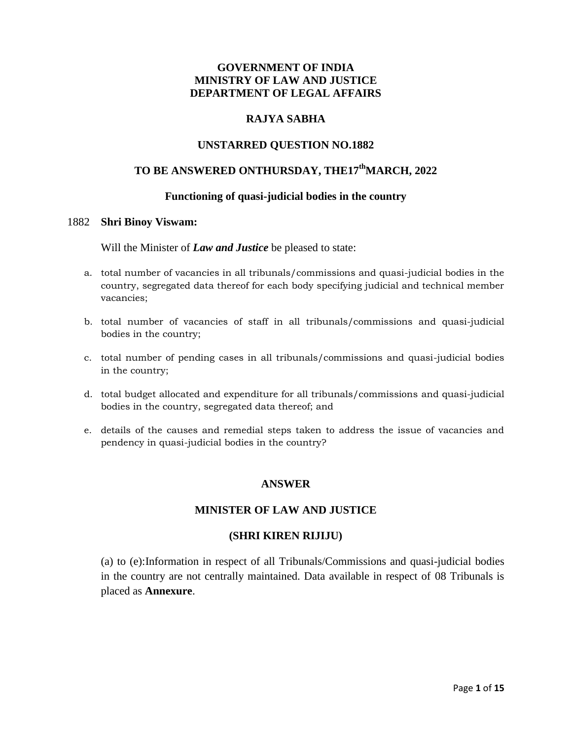# **GOVERNMENT OF INDIA MINISTRY OF LAW AND JUSTICE DEPARTMENT OF LEGAL AFFAIRS**

# **RAJYA SABHA**

# **UNSTARRED QUESTION NO.1882**

# **TO BE ANSWERED ONTHURSDAY, THE17thMARCH, 2022**

### **Functioning of quasi-judicial bodies in the country**

#### 1882 **Shri Binoy Viswam:**

Will the Minister of *Law and Justice* be pleased to state:

- a. total number of vacancies in all tribunals/commissions and quasi-judicial bodies in the country, segregated data thereof for each body specifying judicial and technical member vacancies;
- b. total number of vacancies of staff in all tribunals/commissions and quasi-judicial bodies in the country;
- c. total number of pending cases in all tribunals/commissions and quasi-judicial bodies in the country;
- d. total budget allocated and expenditure for all tribunals/commissions and quasi-judicial bodies in the country, segregated data thereof; and
- e. details of the causes and remedial steps taken to address the issue of vacancies and pendency in quasi-judicial bodies in the country?

# **ANSWER**

# **MINISTER OF LAW AND JUSTICE**

#### **(SHRI KIREN RIJIJU)**

(a) to (e):Information in respect of all Tribunals/Commissions and quasi-judicial bodies in the country are not centrally maintained. Data available in respect of 08 Tribunals is placed as **Annexure**.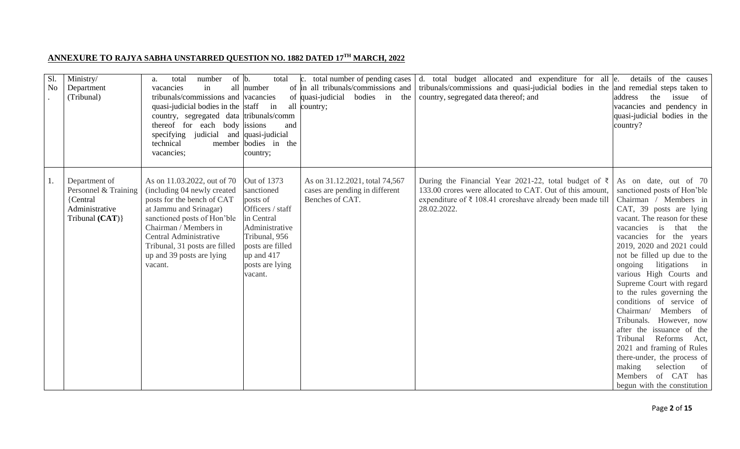# **ANNEXURE TO RAJYA SABHA UNSTARRED QUESTION NO. 1882 DATED 17TH MARCH, 2022**

| Sl.<br>No | Ministry/<br>Department<br>(Tribunal)                                                   | number<br>total<br>a.<br>in<br>vacancies<br>tribunals/commissions and vacancies<br>quasi-judicial bodies in the staff<br>country, segregated data tribunals/comm<br>thereof for each body issions<br>specifying<br>judicial and quasi-judicial<br>technical<br>member<br>vacancies; | of $ b $ .<br>total<br>all number<br>in<br>and<br>bodies in the<br>country;                                                                                                | c. total number of pending cases<br>of in all tribunals/commissions and<br>of quasi-judicial<br>bodies in<br>the<br>all country; | d. total budget allocated and expenditure for all e.<br>tribunals/commissions and quasi-judicial bodies in the and remedial steps taken to<br>country, segregated data thereof; and                     | details of the causes<br>address<br>the<br>issue of<br>vacancies and pendency in<br>quasi-judicial bodies in the<br>country?                                                                                                                                                                                                                                                                                                                                                                                                                                                                                                                                                   |
|-----------|-----------------------------------------------------------------------------------------|-------------------------------------------------------------------------------------------------------------------------------------------------------------------------------------------------------------------------------------------------------------------------------------|----------------------------------------------------------------------------------------------------------------------------------------------------------------------------|----------------------------------------------------------------------------------------------------------------------------------|---------------------------------------------------------------------------------------------------------------------------------------------------------------------------------------------------------|--------------------------------------------------------------------------------------------------------------------------------------------------------------------------------------------------------------------------------------------------------------------------------------------------------------------------------------------------------------------------------------------------------------------------------------------------------------------------------------------------------------------------------------------------------------------------------------------------------------------------------------------------------------------------------|
|           | Department of<br>Personnel & Training<br>{Central<br>Administrative<br>Tribunal $(CAT)$ | As on 11.03.2022, out of 70<br>(including 04 newly created<br>posts for the bench of CAT<br>at Jammu and Srinagar)<br>sanctioned posts of Hon'ble<br>Chairman / Members in<br>Central Administrative<br>Tribunal, 31 posts are filled<br>up and 39 posts are lying<br>vacant.       | Out of 1373<br>sanctioned<br>posts of<br>Officers / staff<br>in Central<br>Administrative<br>Tribunal, 956<br>posts are filled<br>up and 417<br>posts are lying<br>vacant. | As on 31.12.2021, total 74,567<br>cases are pending in different<br>Benches of CAT.                                              | During the Financial Year 2021-22, total budget of $\bar{\tau}$<br>133.00 crores were allocated to CAT. Out of this amount,<br>expenditure of ₹ 108.41 croreshave already been made till<br>28.02.2022. | As on date, out of 70<br>sanctioned posts of Hon'ble<br>Chairman / Members in<br>CAT, 39 posts are lying<br>vacant. The reason for these<br>vacancies is that the<br>vacancies for the years<br>2019, 2020 and 2021 could<br>not be filled up due to the<br>ongoing litigations<br>$\sin$<br>various High Courts and<br>Supreme Court with regard<br>to the rules governing the<br>conditions of service of<br>Chairman/<br>Members of<br>Tribunals. However, now<br>after the issuance of the<br>Tribunal<br>Reforms<br>Act,<br>2021 and framing of Rules<br>there-under, the process of<br>making<br>selection<br>of<br>Members of CAT<br>has<br>begun with the constitution |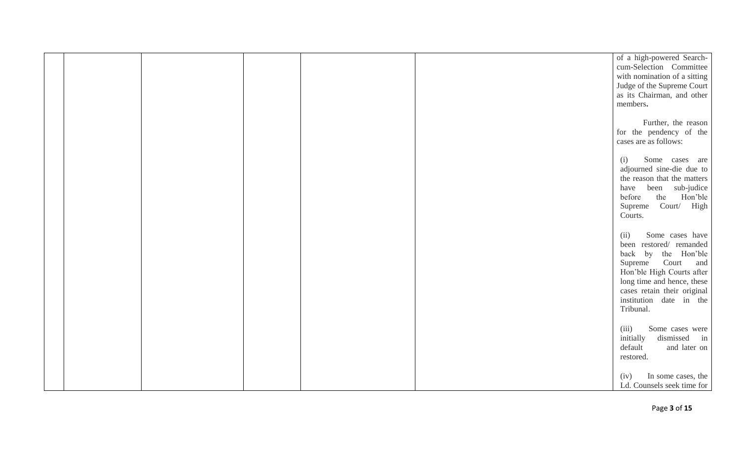|  |  | of a high-powered Search-<br>cum-Selection Committee<br>with nomination of a sitting<br>Judge of the Supreme Court<br>as its Chairman, and other                                                                                 |
|--|--|----------------------------------------------------------------------------------------------------------------------------------------------------------------------------------------------------------------------------------|
|  |  | members.<br>Further, the reason<br>for the pendency of the<br>cases are as follows:                                                                                                                                              |
|  |  | Some cases are<br>(i)<br>adjourned sine-die due to<br>the reason that the matters<br>have been sub-judice<br>before<br>the<br>Hon'ble<br>Supreme Court/ High<br>Courts.                                                          |
|  |  | Some cases have<br>(ii)<br>been restored/ remanded<br>back by the Hon'ble<br>Supreme Court and<br>Hon'ble High Courts after<br>long time and hence, these<br>cases retain their original<br>institution date in the<br>Tribunal. |
|  |  | (iii)<br>Some cases were<br>initially<br>dismissed<br>in<br>default<br>and later on<br>restored.                                                                                                                                 |
|  |  | In some cases, the<br>(iv)<br>Ld. Counsels seek time for                                                                                                                                                                         |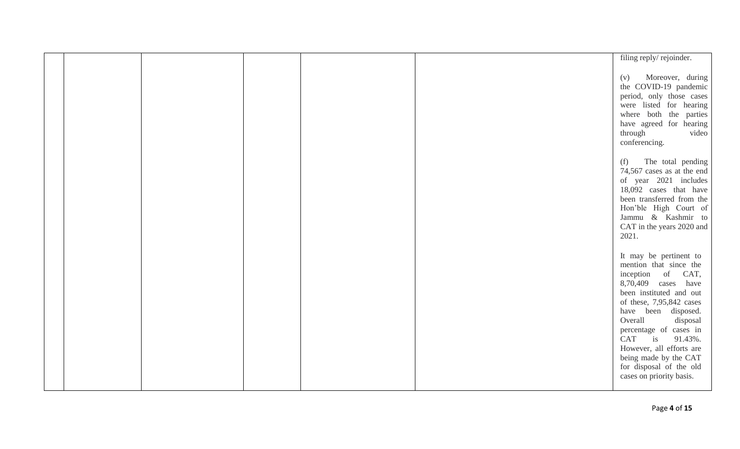|  |  | filing reply/rejoinder.                                                                                                                                                                                                                                                                                                                                   |
|--|--|-----------------------------------------------------------------------------------------------------------------------------------------------------------------------------------------------------------------------------------------------------------------------------------------------------------------------------------------------------------|
|  |  | Moreover, during<br>(v)<br>the COVID-19 pandemic<br>period, only those cases<br>were listed for hearing<br>where both the parties<br>have agreed for hearing<br>through<br>video<br>conferencing.                                                                                                                                                         |
|  |  | The total pending<br>(f)<br>74,567 cases as at the end<br>of year 2021 includes<br>18,092 cases that have<br>been transferred from the<br>Hon'ble High Court of<br>Jammu & Kashmir to<br>CAT in the years 2020 and<br>2021.                                                                                                                               |
|  |  | It may be pertinent to<br>mention that since the<br>inception of CAT,<br>8,70,409 cases have<br>been instituted and out<br>of these, 7,95,842 cases<br>have been disposed.<br>Overall<br>disposal<br>percentage of cases in<br>CAT is 91.43%.<br>However, all efforts are<br>being made by the CAT<br>for disposal of the old<br>cases on priority basis. |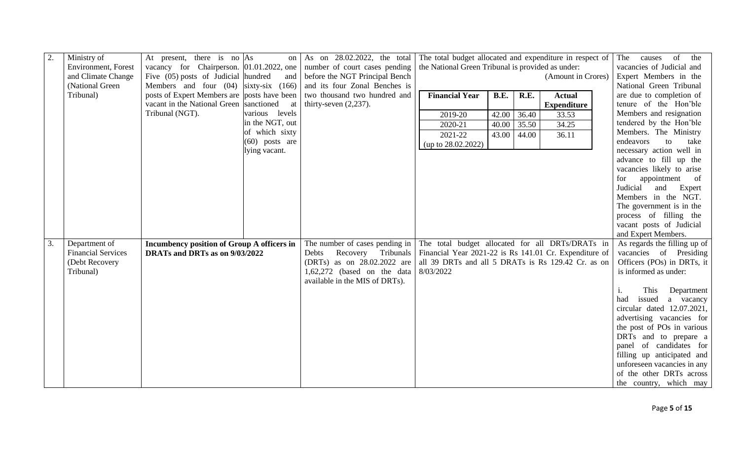| 2. | Ministry of               | At present, there is no $\vert$ As         |                  | on As on $28.02.2022$ , the total                                                    | The total budget allocated and expenditure in respect of |             |       |                    | The       |                       | causes of the                                    |
|----|---------------------------|--------------------------------------------|------------------|--------------------------------------------------------------------------------------|----------------------------------------------------------|-------------|-------|--------------------|-----------|-----------------------|--------------------------------------------------|
|    | Environment, Forest       |                                            |                  | vacancy for Chairperson. $\vert 01.01.2022$ , one   number of court cases pending    | the National Green Tribunal is provided as under:        |             |       |                    |           |                       | vacancies of Judicial and                        |
|    | and Climate Change        | Five $(05)$ posts of Judicial hundred      |                  | and before the NGT Principal Bench                                                   |                                                          |             |       | (Amount in Crores) |           |                       | Expert Members in the                            |
|    | (National Green           |                                            |                  | Members and four $(04)$ sixty-six $(166)$ and its four Zonal Benches is              |                                                          |             |       |                    |           |                       | National Green Tribunal                          |
|    | Tribunal)                 |                                            |                  | posts of Expert Members are posts have been   two thousand two hundred and           | <b>Financial Year</b>                                    | <b>B.E.</b> | R.E.  | <b>Actual</b>      |           |                       | are due to completion of                         |
|    |                           | vacant in the National Green sanctioned at |                  | thirty-seven $(2,237)$ .                                                             |                                                          |             |       | <b>Expenditure</b> |           |                       | tenure of the Hon'ble                            |
|    |                           | Tribunal (NGT).                            | various levels   |                                                                                      | 2019-20                                                  | 42.00       | 36.40 | 33.53              |           |                       | Members and resignation                          |
|    |                           |                                            | in the NGT, out  |                                                                                      | 2020-21                                                  | 40.00       | 35.50 | 34.25              |           |                       | tendered by the Hon'ble                          |
|    |                           |                                            | of which sixty   |                                                                                      | 2021-22                                                  | 43.00       | 44.00 | 36.11              |           |                       | Members. The Ministry                            |
|    |                           |                                            | $(60)$ posts are |                                                                                      | (up to 28.02.2022)                                       |             |       |                    | endeavors |                       | to<br>take                                       |
|    |                           |                                            | lying vacant.    |                                                                                      |                                                          |             |       |                    |           |                       | necessary action well in                         |
|    |                           |                                            |                  |                                                                                      |                                                          |             |       |                    |           |                       | advance to fill up the                           |
|    |                           |                                            |                  |                                                                                      |                                                          |             |       |                    |           |                       | vacancies likely to arise                        |
|    |                           |                                            |                  |                                                                                      |                                                          |             |       |                    | for       |                       | appointment of                                   |
|    |                           |                                            |                  |                                                                                      |                                                          |             |       |                    | Judicial  | and                   | Expert                                           |
|    |                           |                                            |                  |                                                                                      |                                                          |             |       |                    |           |                       | Members in the NGT.                              |
|    |                           |                                            |                  |                                                                                      |                                                          |             |       |                    |           |                       | The government is in the                         |
|    |                           |                                            |                  |                                                                                      |                                                          |             |       |                    |           |                       | process of filling the                           |
|    |                           |                                            |                  |                                                                                      |                                                          |             |       |                    |           |                       | vacant posts of Judicial                         |
|    |                           |                                            |                  |                                                                                      |                                                          |             |       |                    |           | and Expert Members.   |                                                  |
| 3. | Department of             | Incumbency position of Group A officers in |                  | The number of cases pending in                                                       | The total budget allocated for all DRTs/DRATs in         |             |       |                    |           |                       | As regards the filling up of                     |
|    | <b>Financial Services</b> | DRATs and DRTs as on 9/03/2022             |                  | Recovery Tribunals   Financial Year 2021-22 is Rs 141.01 Cr. Expenditure of<br>Debts |                                                          |             |       |                    |           |                       | vacancies of Presiding                           |
|    | (Debt Recovery            |                                            |                  | (DRTs) as on 28.02.2022 are                                                          | all 39 DRTs and all 5 DRATs is Rs 129.42 Cr. as on       |             |       |                    |           |                       | Officers (POs) in DRTs, it                       |
|    | Tribunal)                 |                                            |                  | 1,62,272 (based on the data                                                          | 8/03/2022                                                |             |       |                    |           | is informed as under: |                                                  |
|    |                           |                                            |                  | available in the MIS of DRTs).                                                       |                                                          |             |       |                    |           |                       |                                                  |
|    |                           |                                            |                  |                                                                                      |                                                          |             |       |                    | 1.        | This                  | Department                                       |
|    |                           |                                            |                  |                                                                                      |                                                          |             |       |                    | had       | issued                | a vacancy                                        |
|    |                           |                                            |                  |                                                                                      |                                                          |             |       |                    |           |                       | circular dated 12.07.2021,                       |
|    |                           |                                            |                  |                                                                                      |                                                          |             |       |                    |           |                       | advertising vacancies for                        |
|    |                           |                                            |                  |                                                                                      |                                                          |             |       |                    |           |                       | the post of POs in various                       |
|    |                           |                                            |                  |                                                                                      |                                                          |             |       |                    |           |                       | DRTs and to prepare a<br>panel of candidates for |
|    |                           |                                            |                  |                                                                                      |                                                          |             |       |                    |           |                       | filling up anticipated and                       |
|    |                           |                                            |                  |                                                                                      |                                                          |             |       |                    |           |                       | unforeseen vacancies in any                      |
|    |                           |                                            |                  |                                                                                      |                                                          |             |       |                    |           |                       |                                                  |
|    |                           |                                            |                  |                                                                                      |                                                          |             |       |                    |           |                       | of the other DRTs across                         |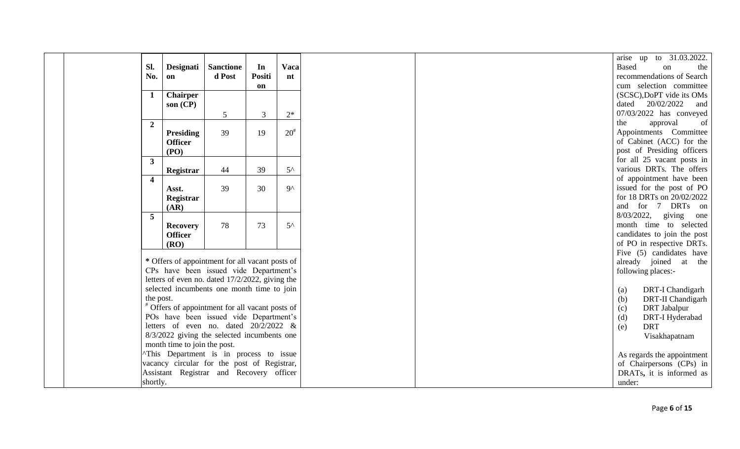| Sl.                     | Designati                    | <b>Sanctione</b>                                | In            | <b>Vaca</b>  |
|-------------------------|------------------------------|-------------------------------------------------|---------------|--------------|
| No.                     | on                           | d Post                                          | <b>Positi</b> | n t          |
|                         |                              |                                                 | on            |              |
| 1                       | <b>Chairper</b>              |                                                 |               |              |
|                         | son $(CP)$                   |                                                 |               |              |
|                         |                              | 5                                               | 3             | $2*$         |
| $\overline{2}$          |                              |                                                 |               | $20^{#}$     |
|                         | Presiding<br><b>Officer</b>  | 39                                              | 19            |              |
|                         | (PO)                         |                                                 |               |              |
| $\mathbf{3}$            |                              |                                                 |               |              |
|                         | Registrar                    | 44                                              | 39            | $5^{\wedge}$ |
| $\overline{\mathbf{4}}$ |                              |                                                 |               |              |
|                         | Asst.                        | 39                                              | 30            | $9^{\wedge}$ |
|                         | Registrar                    |                                                 |               |              |
|                         | (AR)                         |                                                 |               |              |
| 5                       |                              |                                                 |               |              |
|                         | <b>Recovery</b>              | 78                                              | 73            | $5^{\wedge}$ |
|                         | <b>Officer</b><br>(RO)       |                                                 |               |              |
|                         |                              |                                                 |               |              |
|                         |                              | * Offers of appointment for all vacant posts of |               |              |
|                         |                              | CPs have been issued vide Department's          |               |              |
|                         |                              | letters of even no. dated 17/2/2022, giving the |               |              |
|                         |                              | selected incumbents one month time to join      |               |              |
| the post.               |                              |                                                 |               |              |
|                         |                              | Offers of appointment for all vacant posts of   |               |              |
|                         |                              | POs have been issued vide Department's          |               |              |
|                         |                              | letters of even no. dated $20/2/2022$ &         |               |              |
|                         | month time to join the post. | 8/3/2022 giving the selected incumbents one     |               |              |
|                         |                              | This Department is in process to issue          |               |              |
|                         |                              | vacancy circular for the post of Registrar,     |               |              |
|                         |                              | Assistant Registrar and Recovery officer        |               |              |
| shortly.                |                              |                                                 |               |              |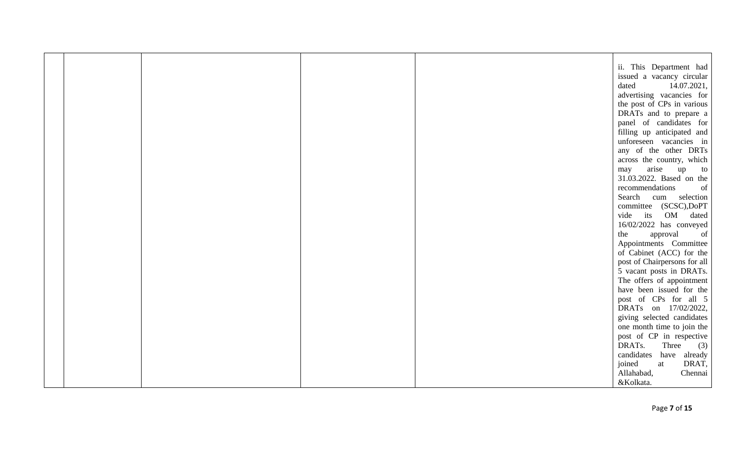| ii. This Department had      |
|------------------------------|
| issued a vacancy circular    |
| 14.07.2021,                  |
|                              |
| advertising vacancies for    |
| the post of CPs in various   |
| DRATs and to prepare a       |
| panel of candidates for      |
| filling up anticipated and   |
| unforeseen vacancies in      |
| any of the other DRTs        |
| across the country, which    |
| up<br>to                     |
| 31.03.2022. Based on the     |
| of                           |
| cum selection                |
| committee (SCSC),DoPT        |
| vide its OM dated            |
| 16/02/2022 has conveyed      |
| of                           |
|                              |
| Appointments Committee       |
| of Cabinet (ACC) for the     |
| post of Chairpersons for all |
| 5 vacant posts in DRATs.     |
| The offers of appointment    |
| have been issued for the     |
| post of CPs for all 5        |
| DRATs on 17/02/2022,         |
| giving selected candidates   |
| one month time to join the   |
| post of CP in respective     |
| (3)                          |
| have already                 |
| DRAT,                        |
| Chennai                      |
|                              |
| Three                        |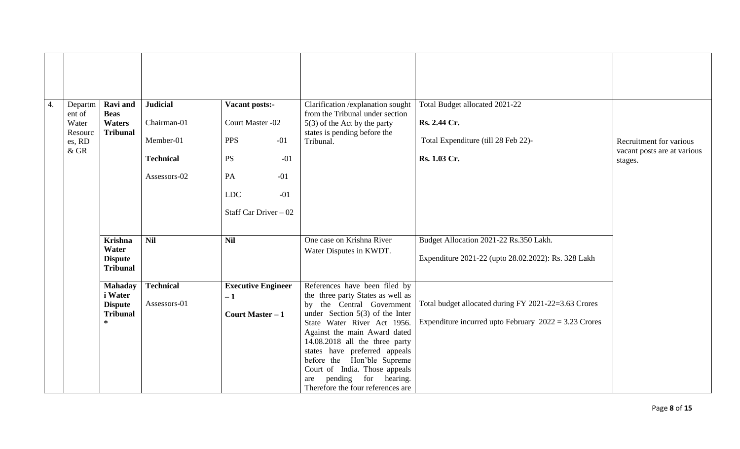| Recruitment for various<br>vacant posts are at various  |
|---------------------------------------------------------|
| stages.                                                 |
|                                                         |
|                                                         |
|                                                         |
|                                                         |
|                                                         |
| Expenditure 2021-22 (upto 28.02.2022): Rs. 328 Lakh     |
|                                                         |
| Total budget allocated during FY 2021-22=3.63 Crores    |
| Expenditure incurred upto February $2022 = 3.23$ Crores |
|                                                         |
|                                                         |
|                                                         |
|                                                         |
|                                                         |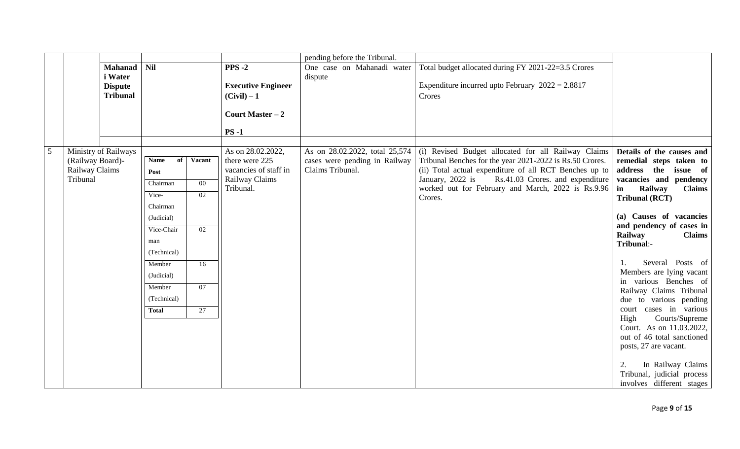|   |                  |                      |              |        |                                     | pending before the Tribunal.                                    |                                                                                                                 |                                                      |
|---|------------------|----------------------|--------------|--------|-------------------------------------|-----------------------------------------------------------------|-----------------------------------------------------------------------------------------------------------------|------------------------------------------------------|
|   |                  | <b>Mahanad</b>       | <b>Nil</b>   |        | $PPS-2$                             | One case on Mahanadi water                                      | Total budget allocated during FY 2021-22=3.5 Crores                                                             |                                                      |
|   |                  | i Water              |              |        |                                     | dispute                                                         |                                                                                                                 |                                                      |
|   |                  | <b>Dispute</b>       |              |        | <b>Executive Engineer</b>           |                                                                 | Expenditure incurred upto February $2022 = 2.8817$                                                              |                                                      |
|   |                  | <b>Tribunal</b>      |              |        | $(Civil) - 1$                       |                                                                 | Crores                                                                                                          |                                                      |
|   |                  |                      |              |        | Court Master $-2$                   |                                                                 |                                                                                                                 |                                                      |
|   |                  |                      |              |        | $PS -1$                             |                                                                 |                                                                                                                 |                                                      |
|   |                  |                      |              |        |                                     |                                                                 |                                                                                                                 |                                                      |
| 5 | (Railway Board)- | Ministry of Railways | Name<br>of   | Vacant | As on 28.02.2022,<br>there were 225 | As on 28.02.2022, total 25,574<br>cases were pending in Railway | (i) Revised Budget allocated for all Railway Claims<br>Tribunal Benches for the year 2021-2022 is Rs.50 Crores. | Details of the causes and<br>remedial steps taken to |
|   | Railway Claims   |                      | Post         |        | vacancies of staff in               | Claims Tribunal.                                                | (ii) Total actual expenditure of all RCT Benches up to                                                          | address the<br>issue of                              |
|   | Tribunal         |                      |              |        | Railway Claims                      |                                                                 | January, 2022 is<br>Rs.41.03 Crores. and expenditure                                                            | vacancies and pendency                               |
|   |                  |                      | Chairman     | $00\,$ | Tribunal.                           |                                                                 | worked out for February and March, 2022 is Rs.9.96                                                              | Railway<br><b>Claims</b><br>in                       |
|   |                  |                      | Vice-        | 02     |                                     |                                                                 | Crores.                                                                                                         | <b>Tribunal (RCT)</b>                                |
|   |                  |                      | Chairman     |        |                                     |                                                                 |                                                                                                                 |                                                      |
|   |                  |                      | (Judicial)   |        |                                     |                                                                 |                                                                                                                 | (a) Causes of vacancies<br>and pendency of cases in  |
|   |                  |                      | Vice-Chair   | 02     |                                     |                                                                 |                                                                                                                 | Railway<br><b>Claims</b>                             |
|   |                  |                      | man          |        |                                     |                                                                 |                                                                                                                 | Tribunal:-                                           |
|   |                  |                      | (Technical)  |        |                                     |                                                                 |                                                                                                                 |                                                      |
|   |                  |                      | Member       | 16     |                                     |                                                                 |                                                                                                                 | Several Posts of                                     |
|   |                  |                      | (Judicial)   |        |                                     |                                                                 |                                                                                                                 | Members are lying vacant                             |
|   |                  |                      | Member       | 07     |                                     |                                                                 |                                                                                                                 | in various Benches of                                |
|   |                  |                      | (Technical)  |        |                                     |                                                                 |                                                                                                                 | Railway Claims Tribunal<br>due to various pending    |
|   |                  |                      | <b>Total</b> | 27     |                                     |                                                                 |                                                                                                                 | court cases in various                               |
|   |                  |                      |              |        |                                     |                                                                 |                                                                                                                 | High<br>Courts/Supreme                               |
|   |                  |                      |              |        |                                     |                                                                 |                                                                                                                 | Court. As on 11.03.2022,                             |
|   |                  |                      |              |        |                                     |                                                                 |                                                                                                                 | out of 46 total sanctioned                           |
|   |                  |                      |              |        |                                     |                                                                 |                                                                                                                 | posts, 27 are vacant.                                |
|   |                  |                      |              |        |                                     |                                                                 |                                                                                                                 | In Railway Claims                                    |
|   |                  |                      |              |        |                                     |                                                                 |                                                                                                                 | 2.<br>Tribunal, judicial process                     |
|   |                  |                      |              |        |                                     |                                                                 |                                                                                                                 | involves different stages                            |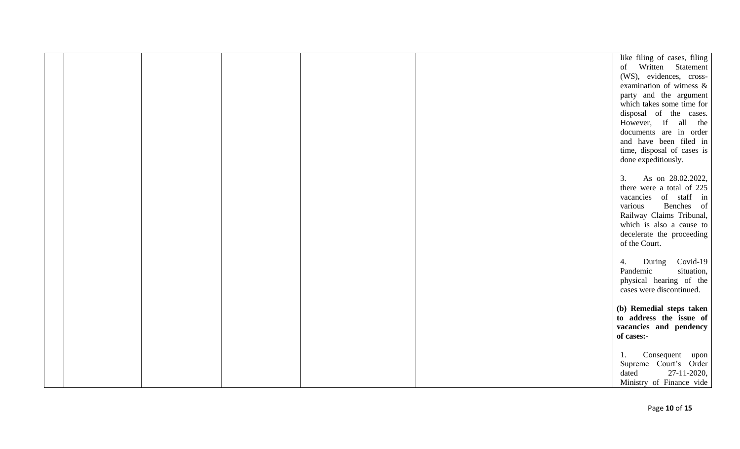|  |  | like filing of cases, filing                        |
|--|--|-----------------------------------------------------|
|  |  | of Written Statement                                |
|  |  | (WS), evidences, cross-                             |
|  |  | examination of witness &                            |
|  |  | party and the argument                              |
|  |  | which takes some time for                           |
|  |  | disposal of the cases.                              |
|  |  | However, if all the                                 |
|  |  | documents are in order                              |
|  |  | and have been filed in                              |
|  |  | time, disposal of cases is                          |
|  |  | done expeditiously.                                 |
|  |  | As on 28.02.2022,<br>3.                             |
|  |  | there were a total of 225                           |
|  |  | vacancies of staff in                               |
|  |  | Benches of<br>various                               |
|  |  | Railway Claims Tribunal,                            |
|  |  | which is also a cause to                            |
|  |  | decelerate the proceeding                           |
|  |  | of the Court.                                       |
|  |  |                                                     |
|  |  | Covid-19<br>During<br>4.                            |
|  |  | Pandemic<br>situation,                              |
|  |  | physical hearing of the                             |
|  |  | cases were discontinued.                            |
|  |  |                                                     |
|  |  | (b) Remedial steps taken<br>to address the issue of |
|  |  | vacancies and pendency                              |
|  |  | of cases:-                                          |
|  |  |                                                     |
|  |  | Consequent upon<br>1.                               |
|  |  | Supreme Court's Order                               |
|  |  | 27-11-2020,<br>dated                                |
|  |  | Ministry of Finance vide                            |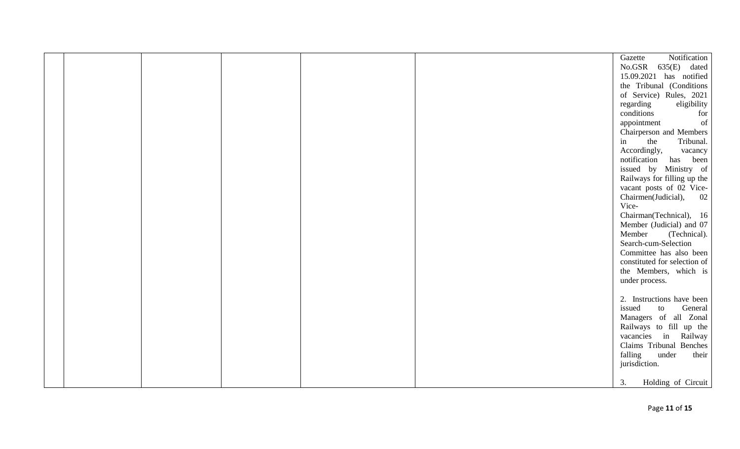|  |  |  | Notification<br>Gazette      |
|--|--|--|------------------------------|
|  |  |  | $No.GSR$ 635 $(E)$<br>dated  |
|  |  |  | 15.09.2021 has notified      |
|  |  |  | the Tribunal (Conditions     |
|  |  |  | of Service) Rules, 2021      |
|  |  |  | regarding<br>eligibility     |
|  |  |  | conditions<br>for            |
|  |  |  | of<br>appointment            |
|  |  |  | Chairperson and Members      |
|  |  |  | the<br>Tribunal.<br>in       |
|  |  |  | Accordingly,<br>vacancy      |
|  |  |  | notification has been        |
|  |  |  | issued by Ministry of        |
|  |  |  | Railways for filling up the  |
|  |  |  | vacant posts of 02 Vice-     |
|  |  |  | Chairmen(Judicial),<br>02    |
|  |  |  | Vice-                        |
|  |  |  | Chairman(Technical), 16      |
|  |  |  | Member (Judicial) and 07     |
|  |  |  | Member<br>(Technical).       |
|  |  |  | Search-cum-Selection         |
|  |  |  | Committee has also been      |
|  |  |  | constituted for selection of |
|  |  |  | the Members, which is        |
|  |  |  | under process.               |
|  |  |  |                              |
|  |  |  | 2. Instructions have been    |
|  |  |  | issued<br>General<br>to      |
|  |  |  | Managers of all Zonal        |
|  |  |  | Railways to fill up the      |
|  |  |  | vacancies in Railway         |
|  |  |  | Claims Tribunal Benches      |
|  |  |  | falling<br>under<br>their    |
|  |  |  | jurisdiction.                |
|  |  |  |                              |
|  |  |  | 3.<br>Holding of Circuit     |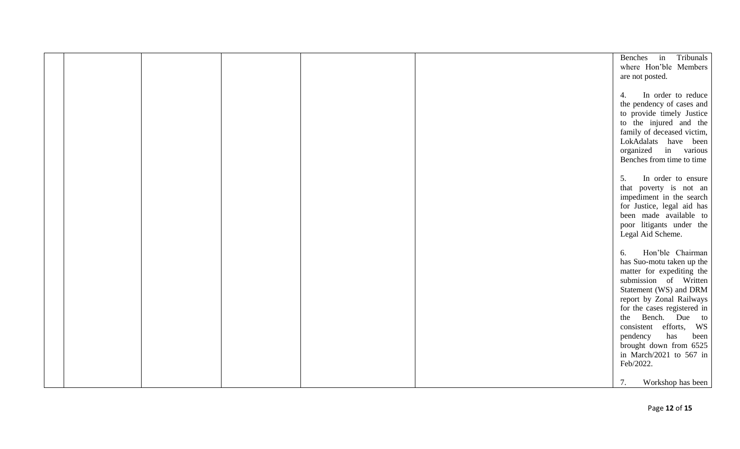|  |  |  | Benches in Tribunals        |
|--|--|--|-----------------------------|
|  |  |  | where Hon'ble Members       |
|  |  |  |                             |
|  |  |  | are not posted.             |
|  |  |  |                             |
|  |  |  | In order to reduce<br>4.    |
|  |  |  |                             |
|  |  |  | the pendency of cases and   |
|  |  |  | to provide timely Justice   |
|  |  |  | to the injured and the      |
|  |  |  |                             |
|  |  |  | family of deceased victim,  |
|  |  |  | LokAdalats have been        |
|  |  |  | organized in various        |
|  |  |  | Benches from time to time   |
|  |  |  |                             |
|  |  |  |                             |
|  |  |  | In order to ensure<br>5.    |
|  |  |  | that poverty is not an      |
|  |  |  | impediment in the search    |
|  |  |  |                             |
|  |  |  | for Justice, legal aid has  |
|  |  |  | been made available to      |
|  |  |  | poor litigants under the    |
|  |  |  | Legal Aid Scheme.           |
|  |  |  |                             |
|  |  |  |                             |
|  |  |  | Hon'ble Chairman<br>6.      |
|  |  |  | has Suo-motu taken up the   |
|  |  |  | matter for expediting the   |
|  |  |  |                             |
|  |  |  | submission of Written       |
|  |  |  | Statement (WS) and DRM      |
|  |  |  | report by Zonal Railways    |
|  |  |  | for the cases registered in |
|  |  |  |                             |
|  |  |  | the Bench. Due to           |
|  |  |  | consistent efforts, WS      |
|  |  |  | has<br>been<br>pendency     |
|  |  |  | brought down from 6525      |
|  |  |  |                             |
|  |  |  | in March/2021 to 567 in     |
|  |  |  | Feb/2022.                   |
|  |  |  |                             |
|  |  |  | 7.<br>Workshop has been     |
|  |  |  |                             |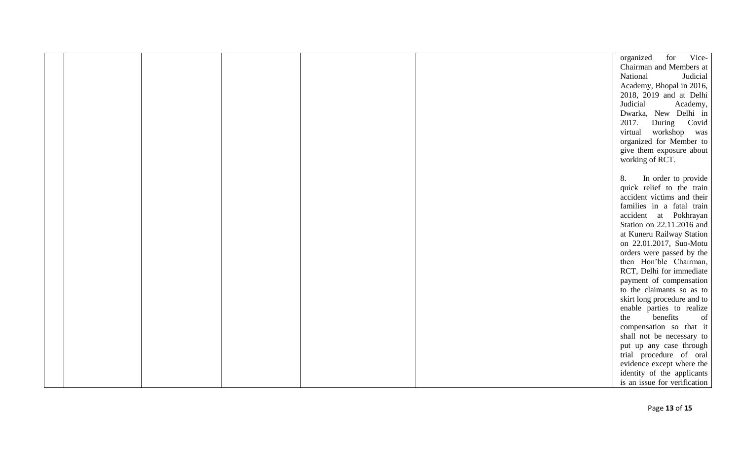|  |  |  | Vice-<br>organized for       |
|--|--|--|------------------------------|
|  |  |  | Chairman and Members at      |
|  |  |  | Judicial<br>National         |
|  |  |  | Academy, Bhopal in 2016,     |
|  |  |  | 2018, 2019 and at Delhi      |
|  |  |  | Judicial<br>Academy,         |
|  |  |  | Dwarka, New Delhi in         |
|  |  |  | 2017.<br>During Covid        |
|  |  |  | virtual<br>workshop<br>was   |
|  |  |  | organized for Member to      |
|  |  |  |                              |
|  |  |  | give them exposure about     |
|  |  |  | working of RCT.              |
|  |  |  |                              |
|  |  |  | In order to provide<br>8.    |
|  |  |  | quick relief to the train    |
|  |  |  | accident victims and their   |
|  |  |  | families in a fatal train    |
|  |  |  | accident at Pokhrayan        |
|  |  |  | Station on 22.11.2016 and    |
|  |  |  | at Kuneru Railway Station    |
|  |  |  | on 22.01.2017, Suo-Motu      |
|  |  |  | orders were passed by the    |
|  |  |  | then Hon'ble Chairman,       |
|  |  |  | RCT, Delhi for immediate     |
|  |  |  | payment of compensation      |
|  |  |  | to the claimants so as to    |
|  |  |  | skirt long procedure and to  |
|  |  |  | enable parties to realize    |
|  |  |  | benefits<br>the<br>of        |
|  |  |  | compensation so that it      |
|  |  |  | shall not be necessary to    |
|  |  |  | put up any case through      |
|  |  |  | trial procedure of oral      |
|  |  |  | evidence except where the    |
|  |  |  | identity of the applicants   |
|  |  |  | is an issue for verification |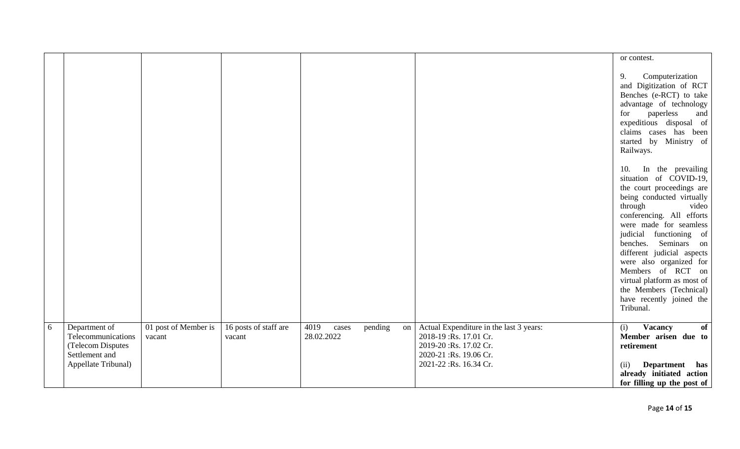|   |                                                                                                   |                                |                                 |                             |         |    |                                                                                                                                                  | or contest.                                                                                                                                                                                                                                                                                                                                                                                                                 |
|---|---------------------------------------------------------------------------------------------------|--------------------------------|---------------------------------|-----------------------------|---------|----|--------------------------------------------------------------------------------------------------------------------------------------------------|-----------------------------------------------------------------------------------------------------------------------------------------------------------------------------------------------------------------------------------------------------------------------------------------------------------------------------------------------------------------------------------------------------------------------------|
|   |                                                                                                   |                                |                                 |                             |         |    |                                                                                                                                                  | Computerization<br>9.<br>and Digitization of RCT<br>Benches (e-RCT) to take<br>advantage of technology<br>for<br>paperless<br>and<br>expeditious disposal of<br>claims cases has been<br>started by Ministry of<br>Railways.                                                                                                                                                                                                |
|   |                                                                                                   |                                |                                 |                             |         |    |                                                                                                                                                  | In the prevailing<br>10.<br>situation of COVID-19,<br>the court proceedings are<br>being conducted virtually<br>through<br>video<br>conferencing. All efforts<br>were made for seamless<br>judicial functioning of<br>benches. Seminars on<br>different judicial aspects<br>were also organized for<br>Members of RCT on<br>virtual platform as most of<br>the Members (Technical)<br>have recently joined the<br>Tribunal. |
| 6 | Department of<br>Telecommunications<br>(Telecom Disputes<br>Settlement and<br>Appellate Tribunal) | 01 post of Member is<br>vacant | 16 posts of staff are<br>vacant | 4019<br>cases<br>28.02.2022 | pending | on | Actual Expenditure in the last 3 years:<br>2018-19 : Rs. 17.01 Cr.<br>2019-20 :Rs. 17.02 Cr.<br>2020-21 :Rs. 19.06 Cr.<br>2021-22 :Rs. 16.34 Cr. | <b>Vacancy</b><br>(i)<br>of<br>Member arisen due to<br>retirement<br><b>Department</b><br>(ii)<br>has<br>already initiated action<br>for filling up the post of                                                                                                                                                                                                                                                             |